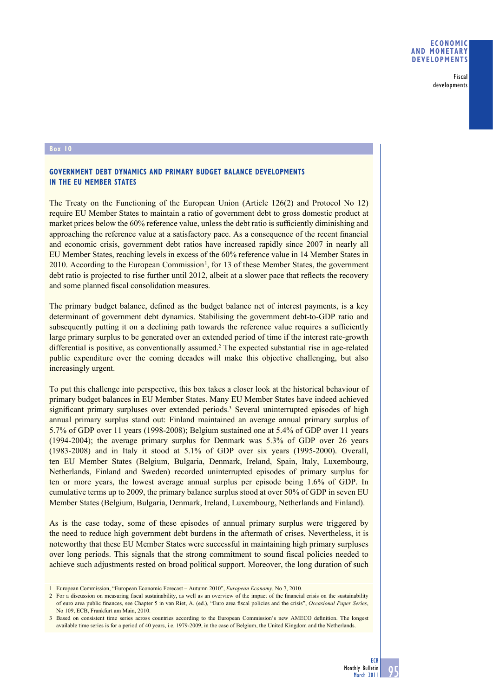Fiscal developments

## **Box 10**

## **GOVERNMENT DEBT DYNAMICS AND PRIMARY BUDGET BALANCE DEVELOPMENTS IN THE EU MEMBER STATES**

The Treaty on the Functioning of the European Union (Article 126(2) and Protocol No 12) require EU Member States to maintain a ratio of government debt to gross domestic product at market prices below the 60% reference value, unless the debt ratio is sufficiently diminishing and approaching the reference value at a satisfactory pace. As a consequence of the recent financial and economic crisis, government debt ratios have increased rapidly since 2007 in nearly all EU Member States, reaching levels in excess of the 60% reference value in 14 Member States in 2010. According to the European Commission<sup>1</sup>, for 13 of these Member States, the government debt ratio is projected to rise further until 2012, albeit at a slower pace that reflects the recovery and some planned fiscal consolidation measures.

The primary budget balance, defined as the budget balance net of interest payments, is a key determinant of government debt dynamics. Stabilising the government debt-to-GDP ratio and subsequently putting it on a declining path towards the reference value requires a sufficiently large primary surplus to be generated over an extended period of time if the interest rate-growth differential is positive, as conventionally assumed.<sup>2</sup> The expected substantial rise in age-related public expenditure over the coming decades will make this objective challenging, but also increasingly urgent.

To put this challenge into perspective, this box takes a closer look at the historical behaviour of primary budget balances in EU Member States. Many EU Member States have indeed achieved significant primary surpluses over extended periods.<sup>3</sup> Several uninterrupted episodes of high annual primary surplus stand out: Finland maintained an average annual primary surplus of 5.7% of GDP over 11 years (1998-2008); Belgium sustained one at 5.4% of GDP over 11 years (1994-2004); the average primary surplus for Denmark was 5.3% of GDP over 26 years (1983-2008) and in Italy it stood at 5.1% of GDP over six years (1995-2000). Overall, ten EU Member States (Belgium, Bulgaria, Denmark, Ireland, Spain, Italy, Luxembourg, Netherlands, Finland and Sweden) recorded uninterrupted episodes of primary surplus for ten or more years, the lowest average annual surplus per episode being 1.6% of GDP. In cumulative terms up to 2009, the primary balance surplus stood at over 50% of GDP in seven EU Member States (Belgium, Bulgaria, Denmark, Ireland, Luxembourg, Netherlands and Finland).

As is the case today, some of these episodes of annual primary surplus were triggered by the need to reduce high government debt burdens in the aftermath of crises. Nevertheless, it is noteworthy that these EU Member States were successful in maintaining high primary surpluses over long periods. This signals that the strong commitment to sound fiscal policies needed to achieve such adjustments rested on broad political support. Moreover, the long duration of such

<sup>1</sup> European Commission, "European Economic Forecast – Autumn 2010", *European Economy*, No 7, 2010.

<sup>2</sup> For a discussion on measuring fiscal sustainability, as well as an overview of the impact of the financial crisis on the sustainability of euro area public finances, see Chapter 5 in van Riet, A. (ed.), "Euro area fiscal policies and the crisis", *Occasional Paper Series*, No 109, ECB, Frankfurt am Main, 2010.

<sup>3</sup> Based on consistent time series across countries according to the European Commission's new AMECO definition. The longest available time series is for a period of 40 years, i.e. 1979-2009, in the case of Belgium, the United Kingdom and the Netherlands.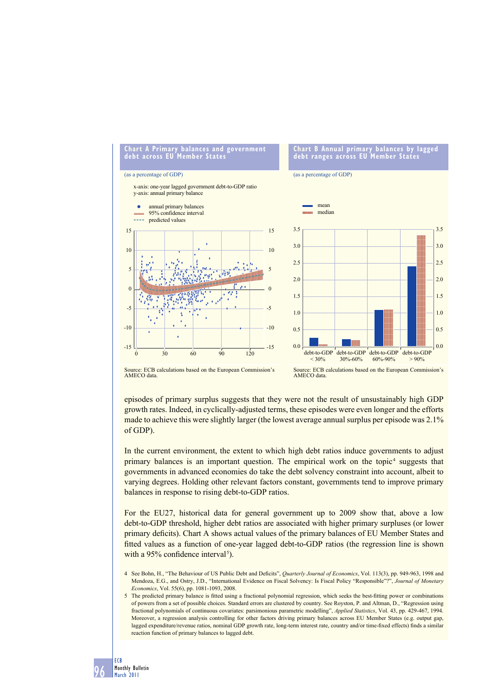

Source: ECB calculations based on the European Commission's AMECO data.

Source: ECB calculations based on the European Commission's AMECO data

episodes of primary surplus suggests that they were not the result of unsustainably high GDP growth rates. Indeed, in cyclically-adjusted terms, these episodes were even longer and the efforts made to achieve this were slightly larger (the lowest average annual surplus per episode was 2.1% of GDP).

In the current environment, the extent to which high debt ratios induce governments to adjust primary balances is an important question. The empirical work on the topic<sup>4</sup> suggests that governments in advanced economies do take the debt solvency constraint into account, albeit to varying degrees. Holding other relevant factors constant, governments tend to improve primary balances in response to rising debt-to-GDP ratios.

For the EU27, historical data for general government up to 2009 show that, above a low debt-to-GDP threshold, higher debt ratios are associated with higher primary surpluses (or lower primary deficits). Chart A shows actual values of the primary balances of EU Member States and fitted values as a function of one-year lagged debt-to-GDP ratios (the regression line is shown with a 95% confidence interval<sup>5</sup>).

- 4 See Bohn, H., "The Behaviour of US Public Debt and Deficits", *Quarterly Journal of Economics*, Vol. 113(3), pp. 949-963, 1998 and Mendoza, E.G., and Ostry, J.D., "International Evidence on Fiscal Solvency: Is Fiscal Policy "Responsible"?", *Journal of Monetary Economics*, Vol. 55(6), pp. 1081-1093, 2008.
- 5 The predicted primary balance is fitted using a fractional polynomial regression, which seeks the best-fitting power or combinations of powers from a set of possible choices. Standard errors are clustered by country. See Royston, P. and Altman, D., "Regression using fractional polynomials of continuous covariates: parsimonious parametric modelling", *Applied Statistics*, Vol. 43, pp. 429-467, 1994. Moreover, a regression analysis controlling for other factors driving primary balances across EU Member States (e.g. output gap, lagged expenditure/revenue ratios, nominal GDP growth rate, long-term interest rate, country and/or time-fixed effects) finds a similar reaction function of primary balances to lagged debt.